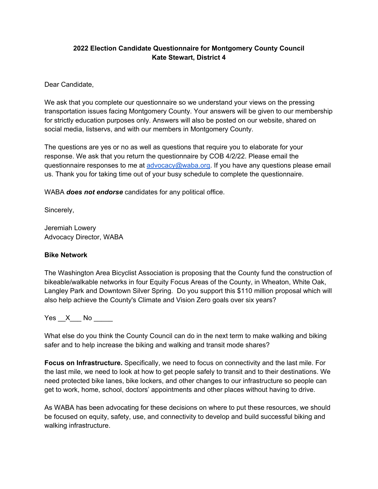## **2022 Election Candidate Questionnaire for Montgomery County Council Kate Stewart, District 4**

Dear Candidate,

We ask that you complete our questionnaire so we understand your views on the pressing transportation issues facing Montgomery County. Your answers will be given to our membership for strictly education purposes only. Answers will also be posted on our website, shared on social media, listservs, and with our members in Montgomery County.

The questions are yes or no as well as questions that require you to elaborate for your response. We ask that you return the questionnaire by COB 4/2/22. Please email the questionnaire responses to me at [advocacy@waba.org.](mailto:advocacy@waba.org) If you have any questions please email us. Thank you for taking time out of your busy schedule to complete the questionnaire.

WABA *does not endorse* candidates for any political office.

Sincerely,

Jeremiah Lowery Advocacy Director, WABA

### **Bike Network**

The Washington Area Bicyclist Association is proposing that the County fund the construction of bikeable/walkable networks in four Equity Focus Areas of the County, in Wheaton, White Oak, Langley Park and Downtown Silver Spring. Do you support this \$110 million proposal which will also help achieve the County's Climate and Vision Zero goals over six years?

 $Yes \_ X \_ No \_$ 

What else do you think the County Council can do in the next term to make walking and biking safer and to help increase the biking and walking and transit mode shares?

**Focus on Infrastructure.** Specifically, we need to focus on connectivity and the last mile. For the last mile, we need to look at how to get people safely to transit and to their destinations. We need protected bike lanes, bike lockers, and other changes to our infrastructure so people can get to work, home, school, doctors' appointments and other places without having to drive.

As WABA has been advocating for these decisions on where to put these resources, we should be focused on equity, safety, use, and connectivity to develop and build successful biking and walking infrastructure.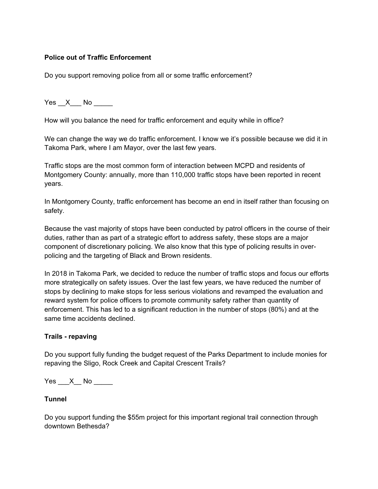## **Police out of Traffic Enforcement**

Do you support removing police from all or some traffic enforcement?

Yes X No  $\blacksquare$ 

How will you balance the need for traffic enforcement and equity while in office?

We can change the way we do traffic enforcement. I know we it's possible because we did it in Takoma Park, where I am Mayor, over the last few years.

Traffic stops are the most common form of interaction between MCPD and residents of Montgomery County: annually, more than 110,000 traffic stops have been reported in recent years.

In Montgomery County, traffic enforcement has become an end in itself rather than focusing on safety.

Because the vast majority of stops have been conducted by patrol officers in the course of their duties, rather than as part of a strategic effort to address safety, these stops are a major component of discretionary policing. We also know that this type of policing results in overpolicing and the targeting of Black and Brown residents.

In 2018 in Takoma Park, we decided to reduce the number of traffic stops and focus our efforts more strategically on safety issues. Over the last few years, we have reduced the number of stops by declining to make stops for less serious violations and revamped the evaluation and reward system for police officers to promote community safety rather than quantity of enforcement. This has led to a significant reduction in the number of stops (80%) and at the same time accidents declined.

### **Trails - repaving**

Do you support fully funding the budget request of the Parks Department to include monies for repaving the Sligo, Rock Creek and Capital Crescent Trails?

Yes  $X$  No

### **Tunnel**

Do you support funding the \$55m project for this important regional trail connection through downtown Bethesda?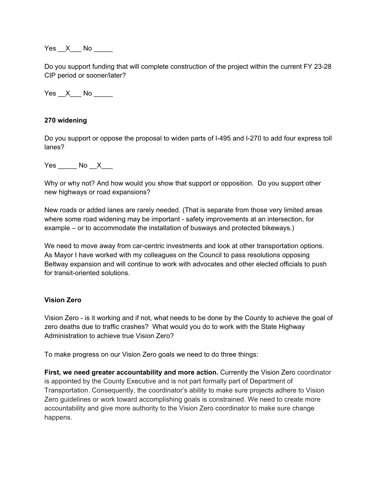Yes X No  $\blacksquare$ 

Do you support funding that will complete construction of the project within the current FY 23-28 CIP period or sooner/later?

 $Yes \_ X \_ No \_$ 

#### **270 widening**

Do you support or oppose the proposal to widen parts of I-495 and I-270 to add four express toll lanes?

Yes No X

Why or why not? And how would you show that support or opposition. Do you support other new highways or road expansions?

New roads or added lanes are rarely needed. (That is separate from those very limited areas where some road widening may be important - safety improvements at an intersection, for example – or to accommodate the installation of busways and protected bikeways.)

We need to move away from car-centric investments and look at other transportation options. As Mayor I have worked with my colleagues on the Council to pass resolutions opposing Beltway expansion and will continue to work with advocates and other elected officials to push for transit-oriented solutions.

### **Vision Zero**

Vision Zero - is it working and if not, what needs to be done by the County to achieve the goal of zero deaths due to traffic crashes? What would you do to work with the State Highway Administration to achieve true Vision Zero?

To make progress on our Vision Zero goals we need to do three things:

**First, we need greater accountability and more action.** Currently the Vision Zero coordinator is appointed by the County Executive and is not part formally part of Department of Transportation. Consequently, the coordinator's ability to make sure projects adhere to Vision Zero guidelines or work toward accomplishing goals is constrained. We need to create more accountability and give more authority to the Vision Zero coordinator to make sure change happens.